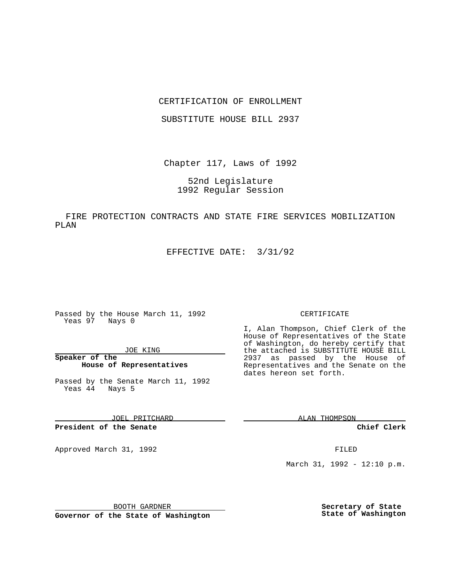## CERTIFICATION OF ENROLLMENT

SUBSTITUTE HOUSE BILL 2937

Chapter 117, Laws of 1992

52nd Legislature 1992 Regular Session

FIRE PROTECTION CONTRACTS AND STATE FIRE SERVICES MOBILIZATION PLAN

EFFECTIVE DATE: 3/31/92

Passed by the House March 11, 1992 Yeas 97 Nays 0

JOE KING

**Speaker of the House of Representatives**

Passed by the Senate March 11, 1992 Yeas 44 Nays 5

JOEL PRITCHARD

**President of the Senate**

Approved March 31, 1992 **FILED** 

### CERTIFICATE

I, Alan Thompson, Chief Clerk of the House of Representatives of the State of Washington, do hereby certify that the attached is SUBSTITUTE HOUSE BILL 2937 as passed by the House of Representatives and the Senate on the dates hereon set forth.

ALAN THOMPSON

**Chief Clerk**

March 31, 1992 - 12:10 p.m.

BOOTH GARDNER

**Governor of the State of Washington**

**Secretary of State State of Washington**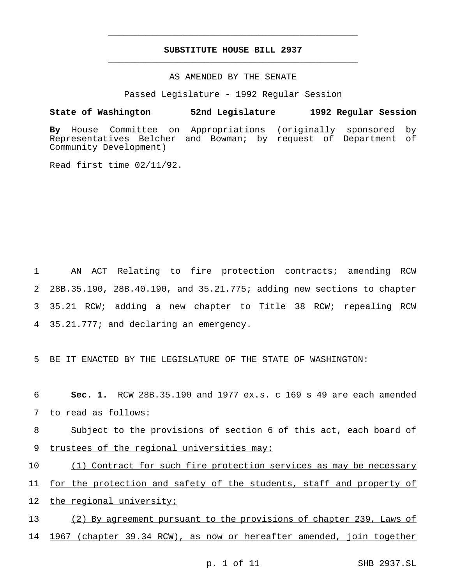# **SUBSTITUTE HOUSE BILL 2937** \_\_\_\_\_\_\_\_\_\_\_\_\_\_\_\_\_\_\_\_\_\_\_\_\_\_\_\_\_\_\_\_\_\_\_\_\_\_\_\_\_\_\_\_\_\_\_

\_\_\_\_\_\_\_\_\_\_\_\_\_\_\_\_\_\_\_\_\_\_\_\_\_\_\_\_\_\_\_\_\_\_\_\_\_\_\_\_\_\_\_\_\_\_\_

# AS AMENDED BY THE SENATE

Passed Legislature - 1992 Regular Session

### **State of Washington 52nd Legislature 1992 Regular Session**

**By** House Committee on Appropriations (originally sponsored by Representatives Belcher and Bowman; by request of Department of Community Development)

Read first time 02/11/92.

 AN ACT Relating to fire protection contracts; amending RCW 28B.35.190, 28B.40.190, and 35.21.775; adding new sections to chapter 35.21 RCW; adding a new chapter to Title 38 RCW; repealing RCW 35.21.777; and declaring an emergency.

5 BE IT ENACTED BY THE LEGISLATURE OF THE STATE OF WASHINGTON:

6 **Sec. 1.** RCW 28B.35.190 and 1977 ex.s. c 169 s 49 are each amended 7 to read as follows:

8 Subject to the provisions of section 6 of this act, each board of 9 trustees of the regional universities may:

10 (1) Contract for such fire protection services as may be necessary 11 for the protection and safety of the students, staff and property of 12 the regional university;

13 (2) By agreement pursuant to the provisions of chapter 239, Laws of 14 1967 (chapter 39.34 RCW), as now or hereafter amended, join together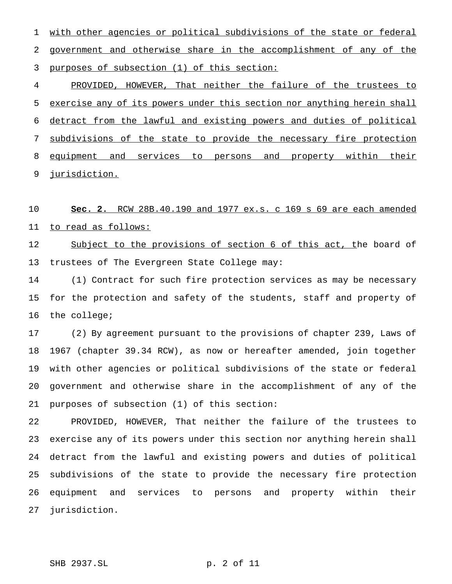with other agencies or political subdivisions of the state or federal government and otherwise share in the accomplishment of any of the purposes of subsection (1) of this section:

 PROVIDED, HOWEVER, That neither the failure of the trustees to exercise any of its powers under this section nor anything herein shall detract from the lawful and existing powers and duties of political subdivisions of the state to provide the necessary fire protection 8 equipment and services to persons and property within their jurisdiction.

 **Sec. 2.** RCW 28B.40.190 and 1977 ex.s. c 169 s 69 are each amended to read as follows:

12 Subject to the provisions of section 6 of this act, the board of trustees of The Evergreen State College may:

 (1) Contract for such fire protection services as may be necessary for the protection and safety of the students, staff and property of the college;

 (2) By agreement pursuant to the provisions of chapter 239, Laws of 1967 (chapter 39.34 RCW), as now or hereafter amended, join together with other agencies or political subdivisions of the state or federal government and otherwise share in the accomplishment of any of the purposes of subsection (1) of this section:

 PROVIDED, HOWEVER, That neither the failure of the trustees to exercise any of its powers under this section nor anything herein shall detract from the lawful and existing powers and duties of political subdivisions of the state to provide the necessary fire protection equipment and services to persons and property within their jurisdiction.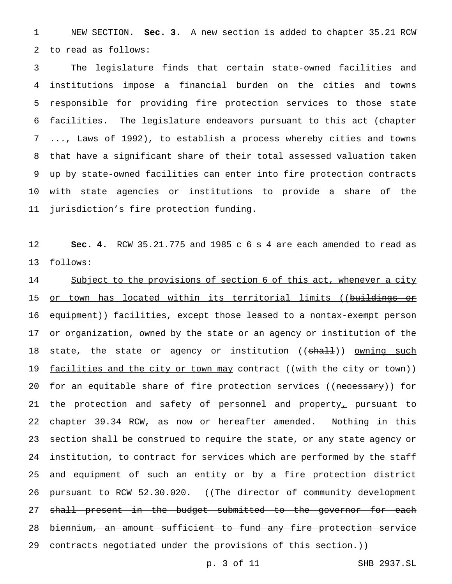NEW SECTION. **Sec. 3.** A new section is added to chapter 35.21 RCW to read as follows:

 The legislature finds that certain state-owned facilities and institutions impose a financial burden on the cities and towns responsible for providing fire protection services to those state facilities. The legislature endeavors pursuant to this act (chapter ..., Laws of 1992), to establish a process whereby cities and towns that have a significant share of their total assessed valuation taken up by state-owned facilities can enter into fire protection contracts with state agencies or institutions to provide a share of the jurisdiction's fire protection funding.

 **Sec. 4.** RCW 35.21.775 and 1985 c 6 s 4 are each amended to read as follows:

14 Subject to the provisions of section 6 of this act, whenever a city 15 or town has located within its territorial limits ((buildings or 16 equipment)) facilities, except those leased to a nontax-exempt person or organization, owned by the state or an agency or institution of the 18 state, the state or agency or institution ((shall)) owning such 19 facilities and the city or town may contract ((with the city or town)) 20 for an equitable share of fire protection services ((necessary)) for 21 the protection and safety of personnel and property<sub>r</sub> pursuant to chapter 39.34 RCW, as now or hereafter amended. Nothing in this section shall be construed to require the state, or any state agency or institution, to contract for services which are performed by the staff and equipment of such an entity or by a fire protection district 26 pursuant to RCW 52.30.020. ((The director of community development 27 shall present in the budget submitted to the governor for each biennium, an amount sufficient to fund any fire protection service 29 contracts negotiated under the provisions of this section.))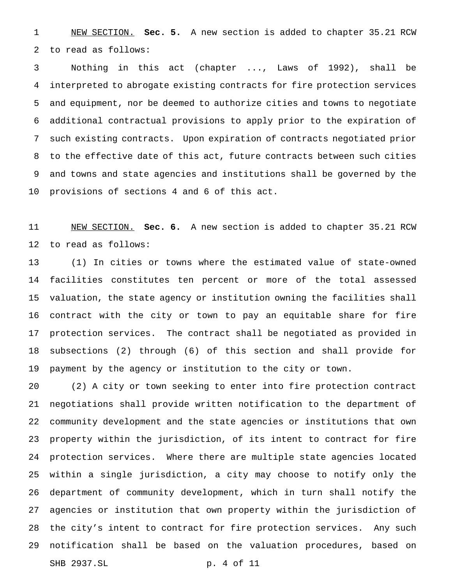NEW SECTION. **Sec. 5.** A new section is added to chapter 35.21 RCW to read as follows:

 Nothing in this act (chapter ..., Laws of 1992), shall be interpreted to abrogate existing contracts for fire protection services and equipment, nor be deemed to authorize cities and towns to negotiate additional contractual provisions to apply prior to the expiration of such existing contracts. Upon expiration of contracts negotiated prior to the effective date of this act, future contracts between such cities and towns and state agencies and institutions shall be governed by the provisions of sections 4 and 6 of this act.

 NEW SECTION. **Sec. 6.** A new section is added to chapter 35.21 RCW to read as follows:

 (1) In cities or towns where the estimated value of state-owned facilities constitutes ten percent or more of the total assessed valuation, the state agency or institution owning the facilities shall contract with the city or town to pay an equitable share for fire protection services. The contract shall be negotiated as provided in subsections (2) through (6) of this section and shall provide for payment by the agency or institution to the city or town.

 (2) A city or town seeking to enter into fire protection contract negotiations shall provide written notification to the department of community development and the state agencies or institutions that own property within the jurisdiction, of its intent to contract for fire protection services. Where there are multiple state agencies located within a single jurisdiction, a city may choose to notify only the department of community development, which in turn shall notify the agencies or institution that own property within the jurisdiction of the city's intent to contract for fire protection services. Any such notification shall be based on the valuation procedures, based on SHB 2937.SL p. 4 of 11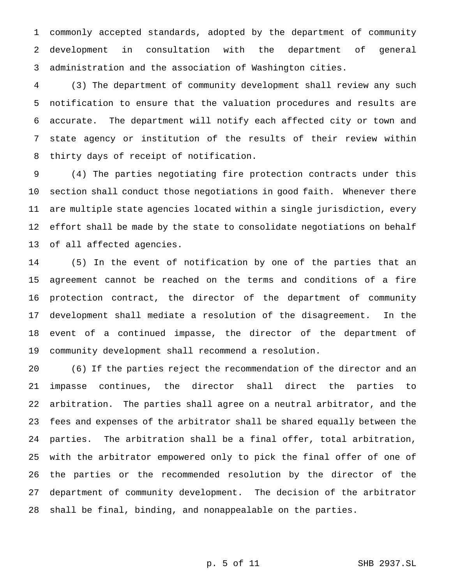commonly accepted standards, adopted by the department of community development in consultation with the department of general administration and the association of Washington cities.

 (3) The department of community development shall review any such notification to ensure that the valuation procedures and results are accurate. The department will notify each affected city or town and state agency or institution of the results of their review within thirty days of receipt of notification.

 (4) The parties negotiating fire protection contracts under this section shall conduct those negotiations in good faith. Whenever there are multiple state agencies located within a single jurisdiction, every effort shall be made by the state to consolidate negotiations on behalf of all affected agencies.

 (5) In the event of notification by one of the parties that an agreement cannot be reached on the terms and conditions of a fire protection contract, the director of the department of community development shall mediate a resolution of the disagreement. In the event of a continued impasse, the director of the department of community development shall recommend a resolution.

 (6) If the parties reject the recommendation of the director and an impasse continues, the director shall direct the parties to arbitration. The parties shall agree on a neutral arbitrator, and the fees and expenses of the arbitrator shall be shared equally between the parties. The arbitration shall be a final offer, total arbitration, with the arbitrator empowered only to pick the final offer of one of the parties or the recommended resolution by the director of the department of community development. The decision of the arbitrator shall be final, binding, and nonappealable on the parties.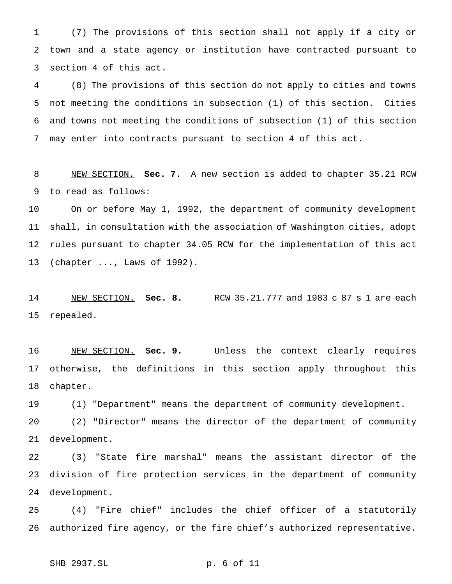(7) The provisions of this section shall not apply if a city or town and a state agency or institution have contracted pursuant to section 4 of this act.

 (8) The provisions of this section do not apply to cities and towns not meeting the conditions in subsection (1) of this section. Cities and towns not meeting the conditions of subsection (1) of this section may enter into contracts pursuant to section 4 of this act.

 NEW SECTION. **Sec. 7.** A new section is added to chapter 35.21 RCW to read as follows:

 On or before May 1, 1992, the department of community development shall, in consultation with the association of Washington cities, adopt rules pursuant to chapter 34.05 RCW for the implementation of this act (chapter ..., Laws of 1992).

 NEW SECTION. **Sec. 8.** RCW 35.21.777 and 1983 c 87 s 1 are each repealed.

 NEW SECTION. **Sec. 9.** Unless the context clearly requires otherwise, the definitions in this section apply throughout this chapter.

(1) "Department" means the department of community development.

 (2) "Director" means the director of the department of community development.

 (3) "State fire marshal" means the assistant director of the division of fire protection services in the department of community development.

 (4) "Fire chief" includes the chief officer of a statutorily authorized fire agency, or the fire chief's authorized representative.

SHB 2937.SL p. 6 of 11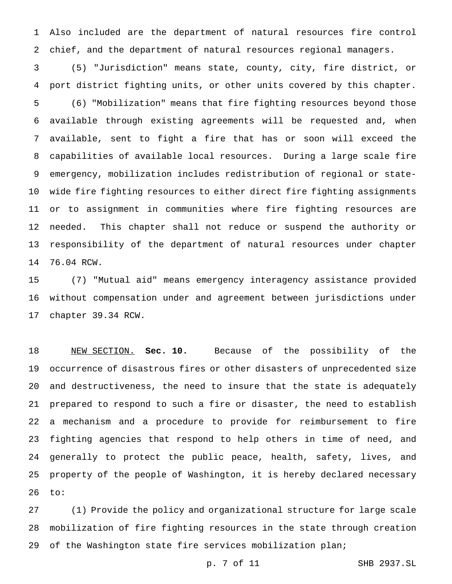Also included are the department of natural resources fire control chief, and the department of natural resources regional managers.

 (5) "Jurisdiction" means state, county, city, fire district, or port district fighting units, or other units covered by this chapter. (6) "Mobilization" means that fire fighting resources beyond those available through existing agreements will be requested and, when available, sent to fight a fire that has or soon will exceed the capabilities of available local resources. During a large scale fire emergency, mobilization includes redistribution of regional or state- wide fire fighting resources to either direct fire fighting assignments or to assignment in communities where fire fighting resources are needed. This chapter shall not reduce or suspend the authority or responsibility of the department of natural resources under chapter 76.04 RCW.

 (7) "Mutual aid" means emergency interagency assistance provided without compensation under and agreement between jurisdictions under chapter 39.34 RCW.

 NEW SECTION. **Sec. 10.** Because of the possibility of the occurrence of disastrous fires or other disasters of unprecedented size and destructiveness, the need to insure that the state is adequately prepared to respond to such a fire or disaster, the need to establish a mechanism and a procedure to provide for reimbursement to fire fighting agencies that respond to help others in time of need, and generally to protect the public peace, health, safety, lives, and property of the people of Washington, it is hereby declared necessary to:

 (1) Provide the policy and organizational structure for large scale mobilization of fire fighting resources in the state through creation of the Washington state fire services mobilization plan;

p. 7 of 11 SHB 2937.SL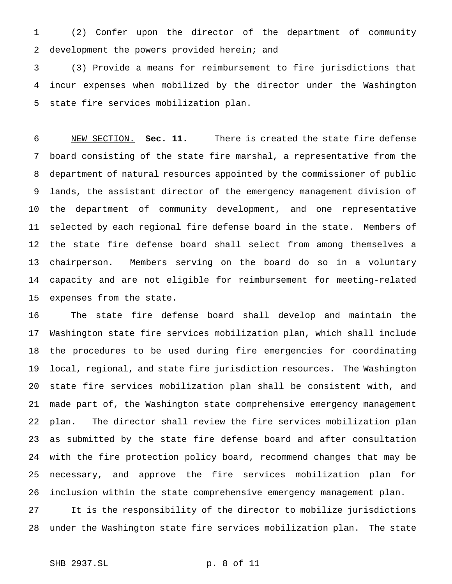(2) Confer upon the director of the department of community development the powers provided herein; and

 (3) Provide a means for reimbursement to fire jurisdictions that incur expenses when mobilized by the director under the Washington state fire services mobilization plan.

 NEW SECTION. **Sec. 11.** There is created the state fire defense board consisting of the state fire marshal, a representative from the department of natural resources appointed by the commissioner of public lands, the assistant director of the emergency management division of the department of community development, and one representative selected by each regional fire defense board in the state. Members of the state fire defense board shall select from among themselves a chairperson. Members serving on the board do so in a voluntary capacity and are not eligible for reimbursement for meeting-related expenses from the state.

 The state fire defense board shall develop and maintain the Washington state fire services mobilization plan, which shall include the procedures to be used during fire emergencies for coordinating local, regional, and state fire jurisdiction resources. The Washington state fire services mobilization plan shall be consistent with, and made part of, the Washington state comprehensive emergency management plan. The director shall review the fire services mobilization plan as submitted by the state fire defense board and after consultation with the fire protection policy board, recommend changes that may be necessary, and approve the fire services mobilization plan for inclusion within the state comprehensive emergency management plan.

 It is the responsibility of the director to mobilize jurisdictions under the Washington state fire services mobilization plan. The state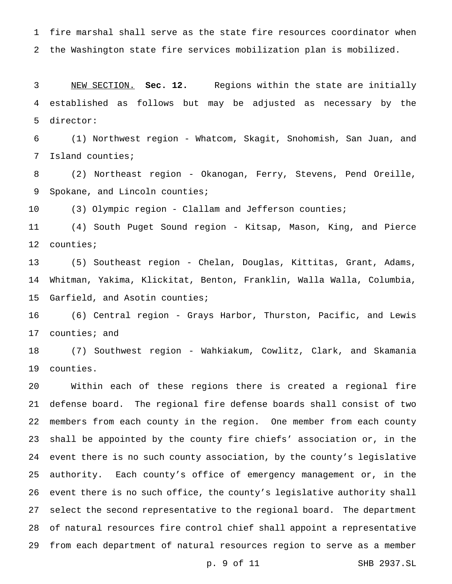fire marshal shall serve as the state fire resources coordinator when the Washington state fire services mobilization plan is mobilized.

 NEW SECTION. **Sec. 12.** Regions within the state are initially established as follows but may be adjusted as necessary by the director:

 (1) Northwest region - Whatcom, Skagit, Snohomish, San Juan, and Island counties;

 (2) Northeast region - Okanogan, Ferry, Stevens, Pend Oreille, Spokane, and Lincoln counties;

(3) Olympic region - Clallam and Jefferson counties;

 (4) South Puget Sound region - Kitsap, Mason, King, and Pierce counties;

 (5) Southeast region - Chelan, Douglas, Kittitas, Grant, Adams, Whitman, Yakima, Klickitat, Benton, Franklin, Walla Walla, Columbia, Garfield, and Asotin counties;

 (6) Central region - Grays Harbor, Thurston, Pacific, and Lewis counties; and

 (7) Southwest region - Wahkiakum, Cowlitz, Clark, and Skamania counties.

 Within each of these regions there is created a regional fire defense board. The regional fire defense boards shall consist of two members from each county in the region. One member from each county shall be appointed by the county fire chiefs' association or, in the event there is no such county association, by the county's legislative authority. Each county's office of emergency management or, in the event there is no such office, the county's legislative authority shall select the second representative to the regional board. The department of natural resources fire control chief shall appoint a representative from each department of natural resources region to serve as a member

p. 9 of 11 SHB 2937.SL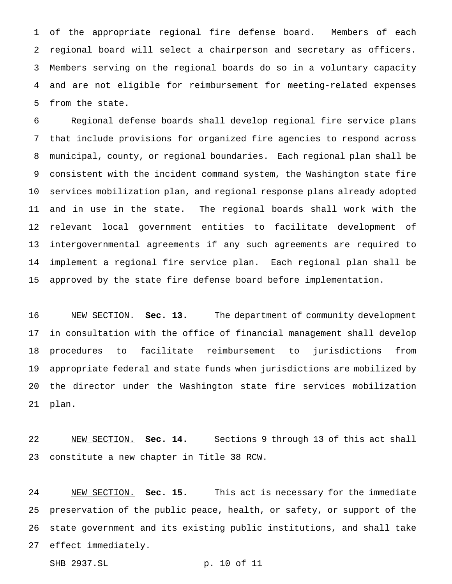of the appropriate regional fire defense board. Members of each regional board will select a chairperson and secretary as officers. Members serving on the regional boards do so in a voluntary capacity and are not eligible for reimbursement for meeting-related expenses from the state.

 Regional defense boards shall develop regional fire service plans that include provisions for organized fire agencies to respond across municipal, county, or regional boundaries. Each regional plan shall be consistent with the incident command system, the Washington state fire services mobilization plan, and regional response plans already adopted and in use in the state. The regional boards shall work with the relevant local government entities to facilitate development of intergovernmental agreements if any such agreements are required to implement a regional fire service plan. Each regional plan shall be approved by the state fire defense board before implementation.

 NEW SECTION. **Sec. 13.** The department of community development in consultation with the office of financial management shall develop procedures to facilitate reimbursement to jurisdictions from appropriate federal and state funds when jurisdictions are mobilized by the director under the Washington state fire services mobilization plan.

 NEW SECTION. **Sec. 14.** Sections 9 through 13 of this act shall constitute a new chapter in Title 38 RCW.

 NEW SECTION. **Sec. 15.** This act is necessary for the immediate preservation of the public peace, health, or safety, or support of the state government and its existing public institutions, and shall take effect immediately.

SHB 2937.SL p. 10 of 11